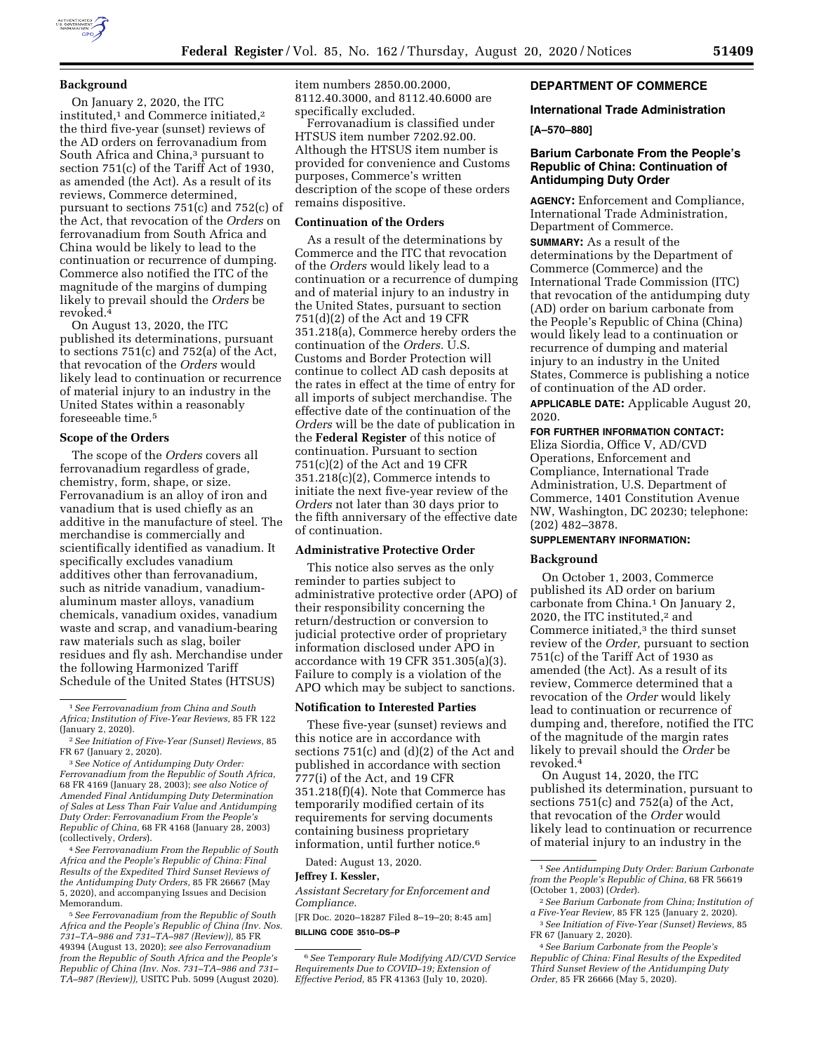

# **Background**

On January 2, 2020, the ITC instituted,1 and Commerce initiated,2 the third five-year (sunset) reviews of the AD orders on ferrovanadium from South Africa and China,<sup>3</sup> pursuant to section 751(c) of the Tariff Act of 1930, as amended (the Act). As a result of its reviews, Commerce determined, pursuant to sections 751(c) and 752(c) of the Act, that revocation of the *Orders* on ferrovanadium from South Africa and China would be likely to lead to the continuation or recurrence of dumping. Commerce also notified the ITC of the magnitude of the margins of dumping likely to prevail should the *Orders* be revoked.4

On August 13, 2020, the ITC published its determinations, pursuant to sections 751(c) and 752(a) of the Act, that revocation of the *Orders* would likely lead to continuation or recurrence of material injury to an industry in the United States within a reasonably foreseeable time.5

#### **Scope of the Orders**

The scope of the *Orders* covers all ferrovanadium regardless of grade, chemistry, form, shape, or size. Ferrovanadium is an alloy of iron and vanadium that is used chiefly as an additive in the manufacture of steel. The merchandise is commercially and scientifically identified as vanadium. It specifically excludes vanadium additives other than ferrovanadium, such as nitride vanadium, vanadiumaluminum master alloys, vanadium chemicals, vanadium oxides, vanadium waste and scrap, and vanadium-bearing raw materials such as slag, boiler residues and fly ash. Merchandise under the following Harmonized Tariff Schedule of the United States (HTSUS)

4*See Ferrovanadium From the Republic of South Africa and the People's Republic of China: Final Results of the Expedited Third Sunset Reviews of the Antidumping Duty Orders,* 85 FR 26667 (May 5, 2020), and accompanying Issues and Decision Memorandum.

5*See Ferrovanadium from the Republic of South Africa and the People's Republic of China (Inv. Nos. 731–TA–986 and 731–TA–987 (Review)),* 85 FR 49394 (August 13, 2020); *see also Ferrovanadium from the Republic of South Africa and the People's Republic of China (Inv. Nos. 731–TA–986 and 731– TA–987 (Review)),* USITC Pub. 5099 (August 2020).

item numbers 2850.00.2000, 8112.40.3000, and 8112.40.6000 are specifically excluded.

Ferrovanadium is classified under HTSUS item number 7202.92.00. Although the HTSUS item number is provided for convenience and Customs purposes, Commerce's written description of the scope of these orders remains dispositive.

#### **Continuation of the Orders**

As a result of the determinations by Commerce and the ITC that revocation of the *Orders* would likely lead to a continuation or a recurrence of dumping and of material injury to an industry in the United States, pursuant to section 751(d)(2) of the Act and 19 CFR 351.218(a), Commerce hereby orders the continuation of the *Orders*. U.S. Customs and Border Protection will continue to collect AD cash deposits at the rates in effect at the time of entry for all imports of subject merchandise. The effective date of the continuation of the *Orders* will be the date of publication in the **Federal Register** of this notice of continuation. Pursuant to section 751(c)(2) of the Act and 19 CFR 351.218(c)(2), Commerce intends to initiate the next five-year review of the *Orders* not later than 30 days prior to the fifth anniversary of the effective date of continuation.

#### **Administrative Protective Order**

This notice also serves as the only reminder to parties subject to administrative protective order (APO) of their responsibility concerning the return/destruction or conversion to judicial protective order of proprietary information disclosed under APO in accordance with 19 CFR 351.305(a)(3). Failure to comply is a violation of the APO which may be subject to sanctions.

#### **Notification to Interested Parties**

These five-year (sunset) reviews and this notice are in accordance with sections 751(c) and (d)(2) of the Act and published in accordance with section 777(i) of the Act, and 19 CFR 351.218(f)(4). Note that Commerce has temporarily modified certain of its requirements for serving documents containing business proprietary information, until further notice.6

Dated: August 13, 2020.

#### **Jeffrey I. Kessler,**

*Assistant Secretary for Enforcement and Compliance.* 

[FR Doc. 2020–18287 Filed 8–19–20; 8:45 am] **BILLING CODE 3510–DS–P** 

### **DEPARTMENT OF COMMERCE**

#### **International Trade Administration**

#### **[A–570–880]**

# **Barium Carbonate From the People's Republic of China: Continuation of Antidumping Duty Order**

**AGENCY:** Enforcement and Compliance, International Trade Administration, Department of Commerce. **SUMMARY:** As a result of the determinations by the Department of Commerce (Commerce) and the International Trade Commission (ITC) that revocation of the antidumping duty (AD) order on barium carbonate from the People's Republic of China (China) would likely lead to a continuation or recurrence of dumping and material injury to an industry in the United States, Commerce is publishing a notice of continuation of the AD order.

**APPLICABLE DATE:** Applicable August 20, 2020.

# **FOR FURTHER INFORMATION CONTACT:**

Eliza Siordia, Office V, AD/CVD Operations, Enforcement and Compliance, International Trade Administration, U.S. Department of Commerce, 1401 Constitution Avenue NW, Washington, DC 20230; telephone: (202) 482–3878.

# **SUPPLEMENTARY INFORMATION:**

#### **Background**

On October 1, 2003, Commerce published its AD order on barium carbonate from China.<sup>1</sup> On January 2, 2020, the ITC instituted,2 and Commerce initiated,<sup>3</sup> the third sunset review of the *Order,* pursuant to section 751(c) of the Tariff Act of 1930 as amended (the Act). As a result of its review, Commerce determined that a revocation of the *Order* would likely lead to continuation or recurrence of dumping and, therefore, notified the ITC of the magnitude of the margin rates likely to prevail should the *Order* be revoked.4

On August 14, 2020, the ITC published its determination, pursuant to sections 751(c) and 752(a) of the Act, that revocation of the *Order* would likely lead to continuation or recurrence of material injury to an industry in the

<sup>1</sup>*See Ferrovanadium from China and South Africa; Institution of Five-Year Reviews,* 85 FR 122 (January 2, 2020).

<sup>2</sup>*See Initiation of Five-Year (Sunset) Reviews,* 85 FR 67 (January 2, 2020).

<sup>3</sup>*See Notice of Antidumping Duty Order: Ferrovanadium from the Republic of South Africa,*  68 FR 4169 (January 28, 2003); *see also Notice of Amended Final Antidumping Duty Determination of Sales at Less Than Fair Value and Antidumping Duty Order: Ferrovanadium From the People's Republic of China,* 68 FR 4168 (January 28, 2003) (collectively, *Orders*).

<sup>6</sup>*See Temporary Rule Modifying AD/CVD Service Requirements Due to COVID–19; Extension of Effective Period,* 85 FR 41363 (July 10, 2020).

<sup>1</sup>*See Antidumping Duty Order: Barium Carbonate from the People's Republic of China,* 68 FR 56619 (October 1, 2003) (*Order*).

<sup>2</sup>*See Barium Carbonate from China; Institution of a Five-Year Review,* 85 FR 125 (January 2, 2020).

<sup>3</sup>*See Initiation of Five-Year (Sunset) Reviews,* 85 FR 67 (January 2, 2020).

<sup>4</sup>*See Barium Carbonate from the People's Republic of China: Final Results of the Expedited Third Sunset Review of the Antidumping Duty Order,* 85 FR 26666 (May 5, 2020).